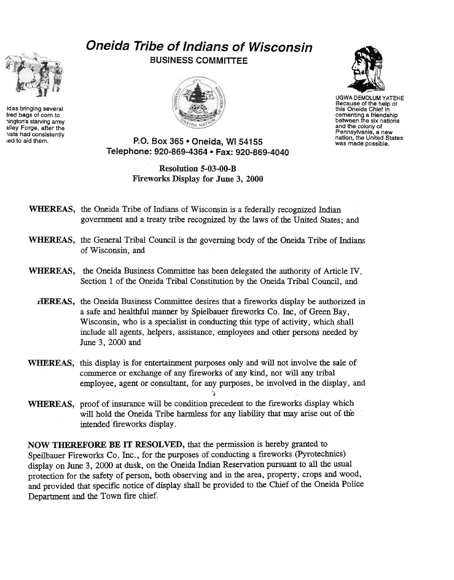

idas bringing several lred bags of com to 1ington's starving anny alley Forge, after the 1ists had consistently ied to aid them.

## **Oneida Tribe of Indians of Wisconsin**  BUSINESS COMMITTEE





UGWA DEMOLUM YATEHE Because of the help of this Oneida Chief in cementing a friendship between the six nations and the colony of<br>Pennsylvania, a new nation, the United States<br>was made possible.

P.O. Box 365 • Oneida, WI 54155 Telephone: 920-869-4364 • Fax: 920-869-4040

> Resolution 5-03-00-B Fireworks Display for June 3, 2000

## WHEREAS, the Oneida Tribe of Indians of Wisconsin is a federally recognized Indian government and a treaty tribe recognized by the laws of the United States; and

- WHEREAS, the General Tribal Council is the governing body of the Oneida Tribe of Indians of Wisconsin, and
- WHEREAS, the Oneida Business Committee has been delegated the authority of Article IV, Section 1 of the Oneida Tribal Constitution by the Oneida Tribal Council, and
	- **HEREAS**, the Oneida Business Committee desires that a fireworks display be authorized in a safe and healthful manner by Spielbauer fireworks Co. Inc, of Green Bay, Wisconsin, who is a specialist in conducting this type of activity, which shall include all agents, helpers, assistance, employees and other persons needed by June 3, 2000 and
- WHEREAS, this display is for entertainment purposes only and will not involve the sale of commerce or exchange of any fireworks of any kind, nor will any tribal employee, agent or consultant, for any purposes, be involved in the display, and

)

WHEREAS, proof of insurance will be condition precedent to the fireworks display which will hold the Oneida Tribe harmless for any liability that may arise out of the intended fireworks display.

NOW THEREFORE BE IT RESOLVED, that the permission is hereby granted to Speilbauer Fireworks Co. Inc., for the purposes of conducting a frreworks (Pyrotechnics) display on June 3, 2000 at dusk, on the Oneida Indian Reservation pursuant to all the usual protection for the safety of person, both observing and in the area, property, crops and wood, and provided that specific notice of display shall be provided to the Chief of the Oneida Police Department and the Town fire chief.